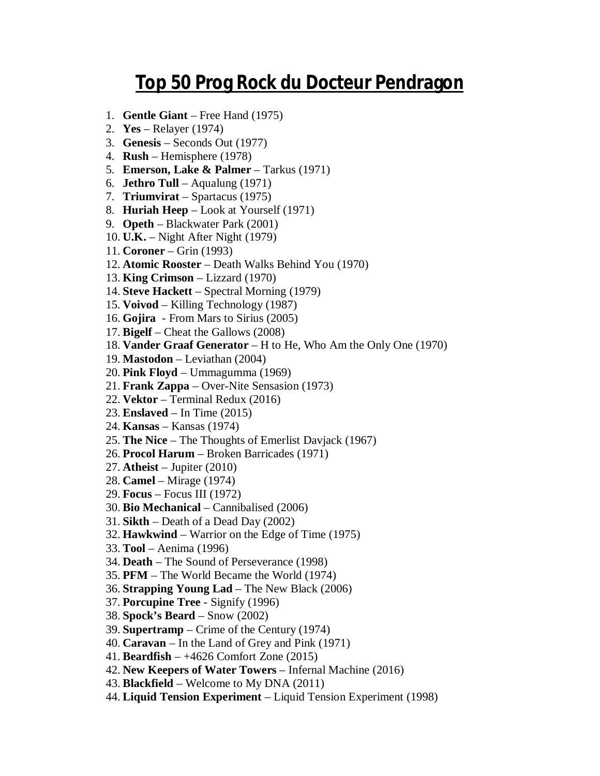## **Top 50 Prog Rock du Docteur Pendragon**

- 1. **Gentle Giant** Free Hand (1975)
- 2. **Yes** Relayer (1974)
- 3. **Genesis** Seconds Out (1977)
- 4. **Rush** Hemisphere (1978)
- 5. **Emerson, Lake & Palmer** Tarkus (1971)
- 6. **Jethro Tull** Aqualung (1971)
- 7. **Triumvirat** Spartacus (1975)
- 8. **Huriah Heep** Look at Yourself (1971)
- 9. **Opeth** Blackwater Park (2001)
- 10. **U.K.** Night After Night (1979)
- 11. **Coroner** Grin (1993)
- 12. **Atomic Rooster** Death Walks Behind You (1970)
- 13. **King Crimson** Lizzard (1970)
- 14. **Steve Hackett** Spectral Morning (1979)
- 15. **Voivod** Killing Technology (1987)
- 16. **Gojira** From Mars to Sirius (2005)
- 17. **Bigelf** Cheat the Gallows (2008)
- 18. **Vander Graaf Generator** H to He, Who Am the Only One (1970)
- 19. **Mastodon** Leviathan (2004)
- 20. **Pink Floyd** Ummagumma (1969)
- 21. **Frank Zappa** Over-Nite Sensasion (1973)
- 22. **Vektor** Terminal Redux (2016)
- 23. **Enslaved** In Time (2015)
- 24. **Kansas** Kansas (1974)
- 25. **The Nice** The Thoughts of Emerlist Davjack (1967)
- 26. **Procol Harum** Broken Barricades (1971)
- 27. **Atheist** Jupiter (2010)
- 28. **Camel** Mirage (1974)
- 29. **Focus** Focus III (1972)
- 30. **Bio Mechanical** Cannibalised (2006)
- 31. **Sikth** Death of a Dead Day (2002)
- 32. **Hawkwind** Warrior on the Edge of Time (1975)
- 33. **Tool** Aenima (1996)
- 34. **Death** The Sound of Perseverance (1998)
- 35. **PFM** The World Became the World (1974)
- 36. **Strapping Young Lad** The New Black (2006)
- 37. **Porcupine Tree** Signify (1996)
- 38. **Spock's Beard** Snow (2002)
- 39. **Supertramp**  Crime of the Century (1974)
- 40. **Caravan** In the Land of Grey and Pink (1971)
- 41. **Beardfish** +4626 Comfort Zone (2015)
- 42. **New Keepers of Water Towers** Infernal Machine (2016)
- 43. **Blackfield** Welcome to My DNA (2011)
- 44. **Liquid Tension Experiment** Liquid Tension Experiment (1998)